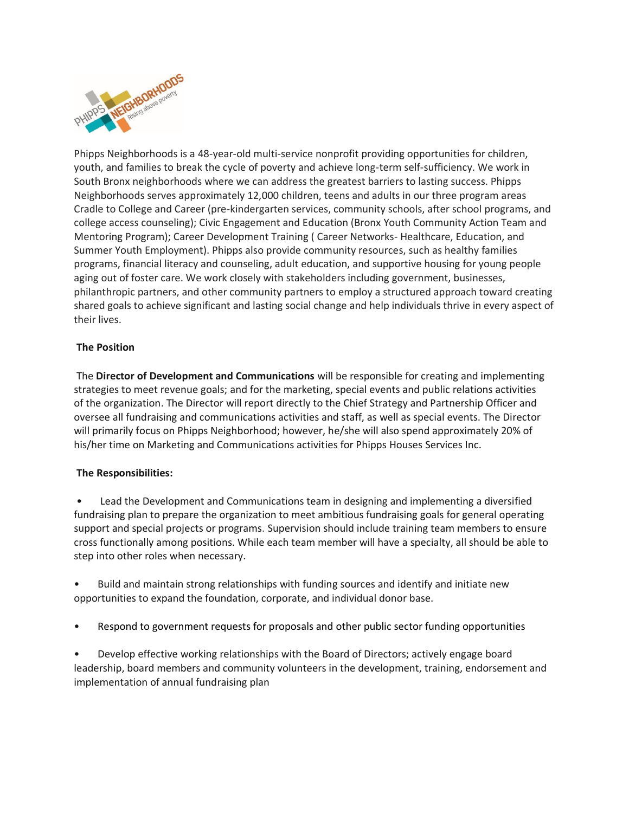

Phipps Neighborhoods is a 48-year-old multi-service nonprofit providing opportunities for children, youth, and families to break the cycle of poverty and achieve long-term self-sufficiency. We work in South Bronx neighborhoods where we can address the greatest barriers to lasting success. Phipps Neighborhoods serves approximately 12,000 children, teens and adults in our three program areas Cradle to College and Career (pre-kindergarten services, community schools, after school programs, and college access counseling); Civic Engagement and Education (Bronx Youth Community Action Team and Mentoring Program); Career Development Training ( Career Networks- Healthcare, Education, and Summer Youth Employment). Phipps also provide community resources, such as healthy families programs, financial literacy and counseling, adult education, and supportive housing for young people aging out of foster care. We work closely with stakeholders including government, businesses, philanthropic partners, and other community partners to employ a structured approach toward creating shared goals to achieve significant and lasting social change and help individuals thrive in every aspect of their lives.

# **The Position**

The **Director of Development and Communications** will be responsible for creating and implementing strategies to meet revenue goals; and for the marketing, special events and public relations activities of the organization. The Director will report directly to the Chief Strategy and Partnership Officer and oversee all fundraising and communications activities and staff, as well as special events. The Director will primarily focus on Phipps Neighborhood; however, he/she will also spend approximately 20% of his/her time on Marketing and Communications activities for Phipps Houses Services Inc.

# **The Responsibilities:**

• Lead the Development and Communications team in designing and implementing a diversified fundraising plan to prepare the organization to meet ambitious fundraising goals for general operating support and special projects or programs. Supervision should include training team members to ensure cross functionally among positions. While each team member will have a specialty, all should be able to step into other roles when necessary.

• Build and maintain strong relationships with funding sources and identify and initiate new opportunities to expand the foundation, corporate, and individual donor base.

• Respond to government requests for proposals and other public sector funding opportunities

• Develop effective working relationships with the Board of Directors; actively engage board leadership, board members and community volunteers in the development, training, endorsement and implementation of annual fundraising plan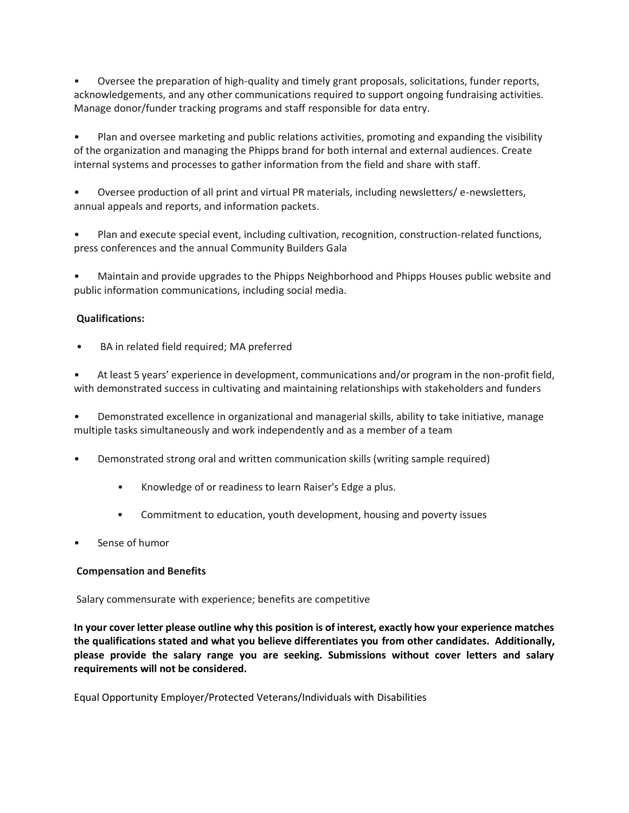• Oversee the preparation of high-quality and timely grant proposals, solicitations, funder reports, acknowledgements, and any other communications required to support ongoing fundraising activities. Manage donor/funder tracking programs and staff responsible for data entry.

• Plan and oversee marketing and public relations activities, promoting and expanding the visibility of the organization and managing the Phipps brand for both internal and external audiences. Create internal systems and processes to gather information from the field and share with staff.

• Oversee production of all print and virtual PR materials, including newsletters/ e-newsletters, annual appeals and reports, and information packets.

• Plan and execute special event, including cultivation, recognition, construction-related functions, press conferences and the annual Community Builders Gala

• Maintain and provide upgrades to the Phipps Neighborhood and Phipps Houses public website and public information communications, including social media.

## **Qualifications:**

BA in related field required; MA preferred

At least 5 years' experience in development, communications and/or program in the non-profit field, with demonstrated success in cultivating and maintaining relationships with stakeholders and funders

• Demonstrated excellence in organizational and managerial skills, ability to take initiative, manage multiple tasks simultaneously and work independently and as a member of a team

- Demonstrated strong oral and written communication skills (writing sample required)
	- Knowledge of or readiness to learn Raiser's Edge a plus.
	- Commitment to education, youth development, housing and poverty issues
- Sense of humor

## **Compensation and Benefits**

Salary commensurate with experience; benefits are competitive

**In your cover letter please outline why this position is of interest, exactly how your experience matches the qualifications stated and what you believe differentiates you from other candidates. Additionally, please provide the salary range you are seeking. Submissions without cover letters and salary requirements will not be considered.**

Equal Opportunity Employer/Protected Veterans/Individuals with Disabilities